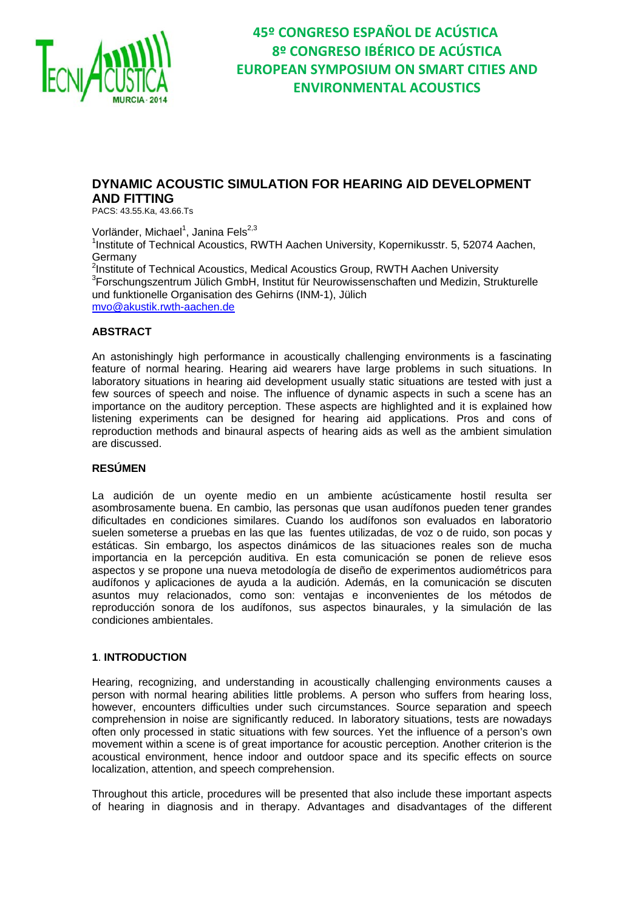

### **DYNAMIC ACOUSTIC SIMULATION FOR HEARING AID DEVELOPMENT AND FITTING**

PACS: 43.55.Ka, 43.66.Ts

Vorländer, Michael<sup>1</sup>, Janina Fels<sup>2,3</sup> <sup>1</sup>Institute of Technical Acoustics, RWTH Aachen University, Kopernikusstr. 5, 52074 Aachen, Germany <sup>2</sup>Institute of Technical Acoustics, Medical Acoustics Group, RWTH Aachen University<br><sup>3</sup>Eerechungezentrum Jülieb CmbH Jastitut für Nourausgegegebetten und Medizin, Stru  ${}^{3}$ Forschungszentrum Jülich GmbH, Institut für Neurowissenschaften und Medizin, Strukturelle und funktionelle Organisation des Gehirns (INM-1), Jülich mvo@akustik.rwth-aachen.de

### **ABSTRACT**

An astonishingly high performance in acoustically challenging environments is a fascinating feature of normal hearing. Hearing aid wearers have large problems in such situations. In laboratory situations in hearing aid development usually static situations are tested with just a few sources of speech and noise. The influence of dynamic aspects in such a scene has an importance on the auditory perception. These aspects are highlighted and it is explained how listening experiments can be designed for hearing aid applications. Pros and cons of reproduction methods and binaural aspects of hearing aids as well as the ambient simulation are discussed.

#### **RESÚMEN**

La audición de un oyente medio en un ambiente acústicamente hostil resulta ser asombrosamente buena. En cambio, las personas que usan audífonos pueden tener grandes dificultades en condiciones similares. Cuando los audífonos son evaluados en laboratorio suelen someterse a pruebas en las que las fuentes utilizadas, de voz o de ruido, son pocas y estáticas. Sin embargo, los aspectos dinámicos de las situaciones reales son de mucha importancia en la percepción auditiva. En esta comunicación se ponen de relieve esos aspectos y se propone una nueva metodología de diseño de experimentos audiométricos para audífonos y aplicaciones de ayuda a la audición. Además, en la comunicación se discuten asuntos muy relacionados, como son: ventajas e inconvenientes de los métodos de reproducción sonora de los audífonos, sus aspectos binaurales, y la simulación de las condiciones ambientales.

#### **1**. **INTRODUCTION**

Hearing, recognizing, and understanding in acoustically challenging environments causes a person with normal hearing abilities little problems. A person who suffers from hearing loss, however, encounters difficulties under such circumstances. Source separation and speech comprehension in noise are significantly reduced. In laboratory situations, tests are nowadays often only processed in static situations with few sources. Yet the influence of a person's own movement within a scene is of great importance for acoustic perception. Another criterion is the acoustical environment, hence indoor and outdoor space and its specific effects on source localization, attention, and speech comprehension.

Throughout this article, procedures will be presented that also include these important aspects of hearing in diagnosis and in therapy. Advantages and disadvantages of the different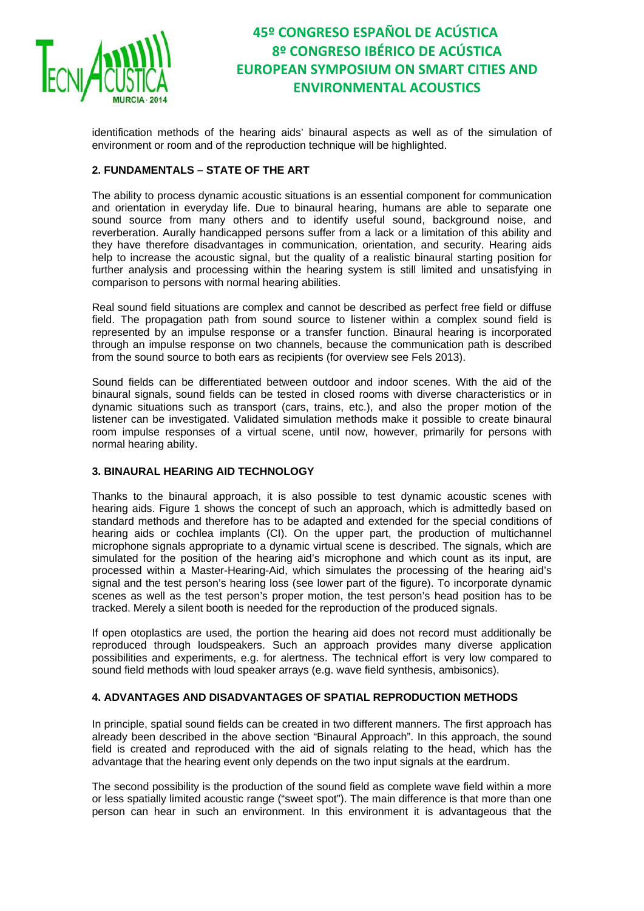

identification methods of the hearing aids' binaural aspects as well as of the simulation of environment or room and of the reproduction technique will be highlighted.

### **2. FUNDAMENTALS – STATE OF THE ART**

The ability to process dynamic acoustic situations is an essential component for communication and orientation in everyday life. Due to binaural hearing, humans are able to separate one sound source from many others and to identify useful sound, background noise, and reverberation. Aurally handicapped persons suffer from a lack or a limitation of this ability and they have therefore disadvantages in communication, orientation, and security. Hearing aids help to increase the acoustic signal, but the quality of a realistic binaural starting position for further analysis and processing within the hearing system is still limited and unsatisfying in comparison to persons with normal hearing abilities.

Real sound field situations are complex and cannot be described as perfect free field or diffuse field. The propagation path from sound source to listener within a complex sound field is represented by an impulse response or a transfer function. Binaural hearing is incorporated through an impulse response on two channels, because the communication path is described from the sound source to both ears as recipients (for overview see Fels 2013).

Sound fields can be differentiated between outdoor and indoor scenes. With the aid of the binaural signals, sound fields can be tested in closed rooms with diverse characteristics or in dynamic situations such as transport (cars, trains, etc.), and also the proper motion of the listener can be investigated. Validated simulation methods make it possible to create binaural room impulse responses of a virtual scene, until now, however, primarily for persons with normal hearing ability.

### **3. BINAURAL HEARING AID TECHNOLOGY**

Thanks to the binaural approach, it is also possible to test dynamic acoustic scenes with hearing aids. Figure 1 shows the concept of such an approach, which is admittedly based on standard methods and therefore has to be adapted and extended for the special conditions of hearing aids or cochlea implants (CI). On the upper part, the production of multichannel microphone signals appropriate to a dynamic virtual scene is described. The signals, which are simulated for the position of the hearing aid's microphone and which count as its input, are processed within a Master-Hearing-Aid, which simulates the processing of the hearing aid's signal and the test person's hearing loss (see lower part of the figure). To incorporate dynamic scenes as well as the test person's proper motion, the test person's head position has to be tracked. Merely a silent booth is needed for the reproduction of the produced signals.

If open otoplastics are used, the portion the hearing aid does not record must additionally be reproduced through loudspeakers. Such an approach provides many diverse application possibilities and experiments, e.g. for alertness. The technical effort is very low compared to sound field methods with loud speaker arrays (e.g. wave field synthesis, ambisonics).

### **4. ADVANTAGES AND DISADVANTAGES OF SPATIAL REPRODUCTION METHODS**

In principle, spatial sound fields can be created in two different manners. The first approach has already been described in the above section "Binaural Approach". In this approach, the sound field is created and reproduced with the aid of signals relating to the head, which has the advantage that the hearing event only depends on the two input signals at the eardrum.

The second possibility is the production of the sound field as complete wave field within a more or less spatially limited acoustic range ("sweet spot"). The main difference is that more than one person can hear in such an environment. In this environment it is advantageous that the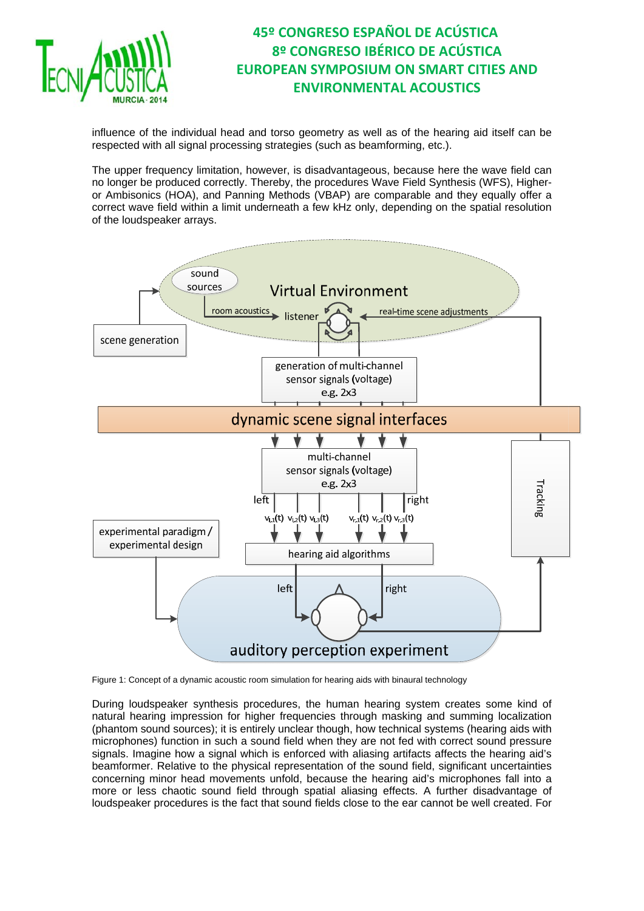

influence of the individual head and torso geometry as well as of the hearing aid itself can be respected with all signal processing strategies (such as beamforming, etc.).

The upper frequency limitation, however, is disadvantageous, because here the wave field can no longer be produced correctly. Thereby, the procedures Wave Field Synthesis (WFS), Higheror Ambisonics (HOA), and Panning Methods (VBAP) are comparable and they equally offer a correct wave field within a limit underneath a few kHz only, depending on the spatial resolution of the loudspeaker arrays.



Figure 1: Concept of a dynamic acoustic room simulation for hearing aids with binaural technology

During loudspeaker synthesis procedures, the human hearing system creates some kind of natural hearing impression for higher frequencies through masking and summing localization (phantom sound sources); it is entirely unclear though, how technical systems (hearing aids with microphones) function in such a sound field when they are not fed with correct sound pressure signals. Imagine how a signal which is enforced with aliasing artifacts affects the hearing aid's beamformer. Relative to the physical representation of the sound field, significant uncertainties concerning minor head movements unfold, because the hearing aid's microphones fall into a more or less chaotic sound field through spatial aliasing effects. A further disadvantage of loudspeaker procedures is the fact that sound fields close to the ear cannot be well created. For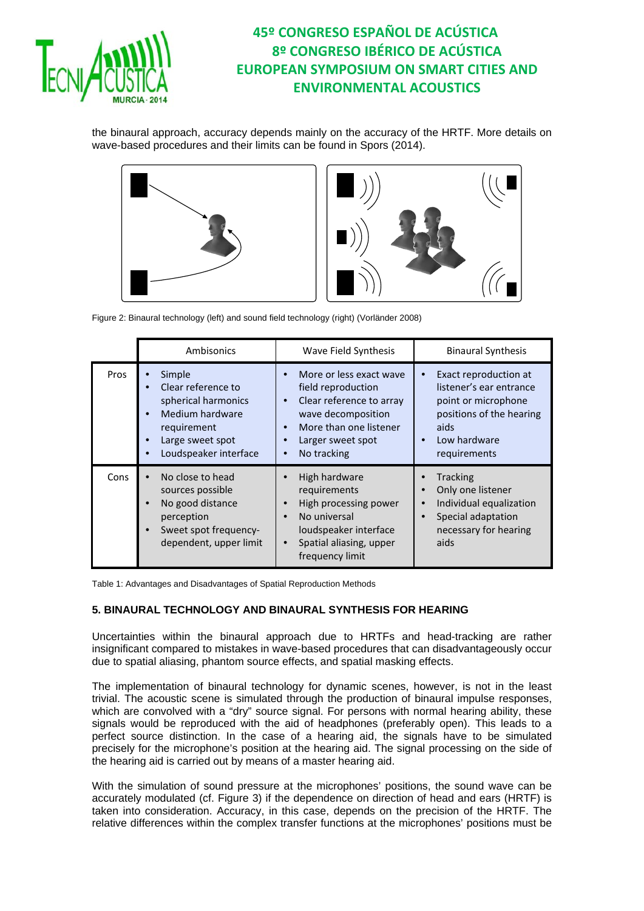

the binaural approach, accuracy depends mainly on the accuracy of the HRTF. More details on wave-based procedures and their limits can be found in Spors (2014).



Figure 2: Binaural technology (left) and sound field technology (right) (Vorländer 2008)

|      | Ambisonics                                                                                                                         | Wave Field Synthesis                                                                                                                                                                                                           | <b>Binaural Synthesis</b>                                                                                                                   |
|------|------------------------------------------------------------------------------------------------------------------------------------|--------------------------------------------------------------------------------------------------------------------------------------------------------------------------------------------------------------------------------|---------------------------------------------------------------------------------------------------------------------------------------------|
| Pros | Simple<br>Clear reference to<br>spherical harmonics<br>Medium hardware<br>requirement<br>Large sweet spot<br>Loudspeaker interface | More or less exact wave<br>$\bullet$<br>field reproduction<br>Clear reference to array<br>$\bullet$<br>wave decomposition<br>More than one listener<br>$\bullet$<br>Larger sweet spot<br>$\bullet$<br>No tracking<br>$\bullet$ | Exact reproduction at<br>listener's ear entrance<br>point or microphone<br>positions of the hearing<br>aids<br>Low hardware<br>requirements |
| Cons | No close to head<br>sources possible<br>No good distance<br>perception<br>Sweet spot frequency-<br>dependent, upper limit          | High hardware<br>requirements<br>High processing power<br>$\bullet$<br>No universal<br>$\bullet$<br>loudspeaker interface<br>Spatial aliasing, upper<br>$\bullet$<br>frequency limit                                           | Tracking<br>Only one listener<br>Individual equalization<br>Special adaptation<br>necessary for hearing<br>aids                             |

Table 1: Advantages and Disadvantages of Spatial Reproduction Methods

### **5. BINAURAL TECHNOLOGY AND BINAURAL SYNTHESIS FOR HEARING**

Uncertainties within the binaural approach due to HRTFs and head-tracking are rather insignificant compared to mistakes in wave-based procedures that can disadvantageously occur due to spatial aliasing, phantom source effects, and spatial masking effects.

The implementation of binaural technology for dynamic scenes, however, is not in the least trivial. The acoustic scene is simulated through the production of binaural impulse responses, which are convolved with a "dry" source signal. For persons with normal hearing ability, these signals would be reproduced with the aid of headphones (preferably open). This leads to a perfect source distinction. In the case of a hearing aid, the signals have to be simulated precisely for the microphone's position at the hearing aid. The signal processing on the side of the hearing aid is carried out by means of a master hearing aid.

With the simulation of sound pressure at the microphones' positions, the sound wave can be accurately modulated (cf. Figure 3) if the dependence on direction of head and ears (HRTF) is taken into consideration. Accuracy, in this case, depends on the precision of the HRTF. The relative differences within the complex transfer functions at the microphones' positions must be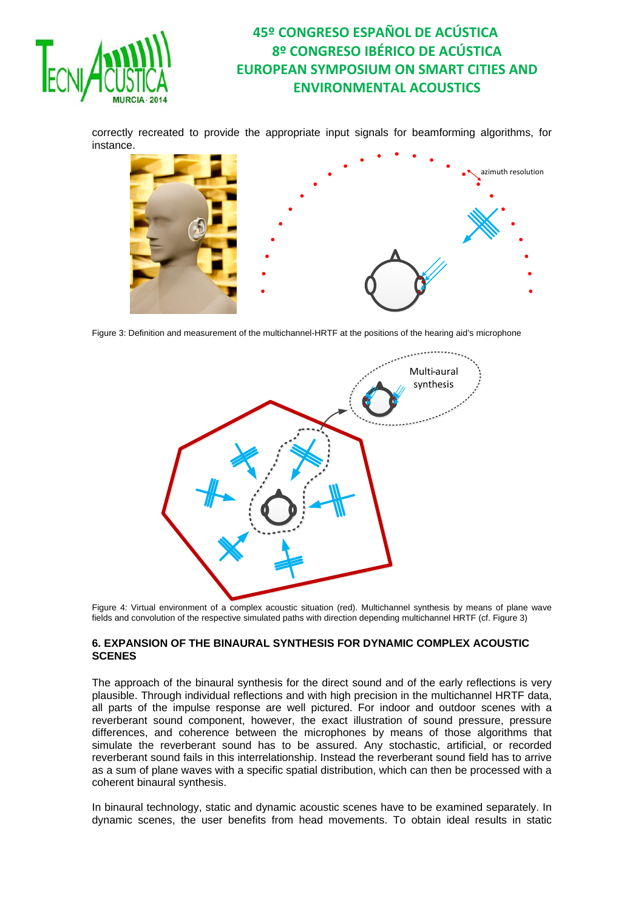

correctly recreated to provide the appropriate input signals for beamforming algorithms, for instance.



Figure 3: Definition and measurement of the multichannel-HRTF at the positions of the hearing aid's microphone



Figure 4: Virtual environment of a complex acoustic situation (red). Multichannel synthesis by means of plane wave fields and convolution of the respective simulated paths with direction depending multichannel HRTF (cf. Figure 3)

#### **6. EXPANSION OF THE BINAURAL SYNTHESIS FOR DYNAMIC COMPLEX ACOUSTIC SCENES**

The approach of the binaural synthesis for the direct sound and of the early reflections is very plausible. Through individual reflections and with high precision in the multichannel HRTF data, all parts of the impulse response are well pictured. For indoor and outdoor scenes with a reverberant sound component, however, the exact illustration of sound pressure, pressure differences, and coherence between the microphones by means of those algorithms that simulate the reverberant sound has to be assured. Any stochastic, artificial, or recorded reverberant sound fails in this interrelationship. Instead the reverberant sound field has to arrive as a sum of plane waves with a specific spatial distribution, which can then be processed with a coherent binaural synthesis.

In binaural technology, static and dynamic acoustic scenes have to be examined separately. In dynamic scenes, the user benefits from head movements. To obtain ideal results in static